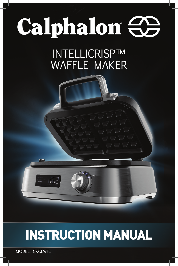# Calphalon <del>CO</del>

INTELLICRISP™ WAFFLE MAKER



MODEL: CKCLWF1

1:98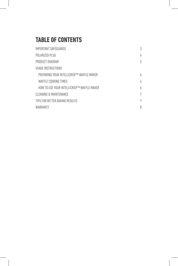# **TABLE OF CONTENTS**

| IMPORTANT SAFEGUARDS                        | 3 |
|---------------------------------------------|---|
| POLARIZED PLUG                              | 4 |
| PRODUCT DIAGRAM                             | 5 |
| USAGE INSTRUCTIONS                          |   |
| PREPARING YOUR INTELLICRISP™ WAFFLE MAKER   | h |
| WAFFLE COOKING TIMES                        | h |
| HOW TO USE YOUR INTELLICRISPTM WAFFLE MAKER | h |
| CLEANING & MAINTENANCE                      | 7 |
| TIPS FOR BETTER BAKING RESULTS              |   |
| WARRANTY                                    | 8 |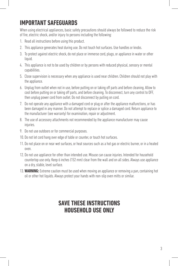# **IMPORTANT SAFEGUARDS**

When using electrical appliances, basic safety precautions should always be followed to reduce the risk of fire, electric shock, and/or injury to persons including the following:

- 1. Read all instructions before using this product.
- 2. This appliance generates heat during use. Do not touch hot surfaces. Use handles or knobs.
- 3. To protect against electric shock, do not place or immerse cord, plugs, or appliance in water or other liquid.
- 4. This appliance is not to be used by children or by persons with reduced physical, sensory or mental capabilities.
- 5. Close supervision is necessary when any appliance is used near children. Children should not play with the appliance.
- 6. Unplug from outlet when not in use, before putting on or taking off parts and before cleaning. Allow to cool before putting on or taking off parts, and before cleaning. To disconnect, turn any control to OFF, then unplug power cord from outlet. Do not disconnect by pulling on cord.
- 7. Do not operate any appliance with a damaged cord or plug or after the appliance malfunctions, or has been damaged in any manner. Do not attempt to replace or splice a damaged cord. Return appliance to the manufacturer (see warranty) for examination, repair or adjustment.
- 8. The use of accessory attachments not recommended by the appliance manufacturer may cause injuries.
- 9. Do not use outdoors or for commercial purposes.
- 10. Do not let cord hang over edge of table or counter, or touch hot surfaces.
- 11. Do not place on or near wet surfaces, or heat sources such as a hot gas or electric burner, or in a heated oven.
- 12. Do not use appliance for other than intended use. Misuse can cause injuries. Intended for household countertop use only. Keep 6 inches (152 mm) clear from the wall and on all sides. Always use appliance on a dry, stable, level surface.
- 13. **WARNING:** Extreme caution must be used when moving an appliance or removing a pan, containing hot oil or other hot liquids. Always protect your hands with non-slip oven mitts or similar.

#### **SAVE THESE INSTRUCTIONS HOUSEHOLD USE ONLY**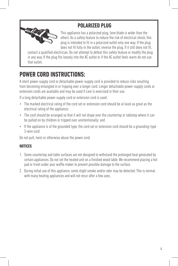#### **POLARIZED PLUG**



This appliance has a polarized plug, (one blade is wider than the other). As a safety feature to reduce the risk of electrical shock, this plug is intended to fit in a polarized outlet only one way. If the plug does not fit fully in the outlet, reverse the plug. If it still does not fit,

contact a qualified electrician. Do not attempt to defeat this safety feature or modify the plug in any way. If the plug fits loosely into the AC outlet or if the AC outlet feels warm do not use that outlet.

# **POWER CORD INSTRUCTIONS:**

A short power-supply cord or detachable power-supply cord is provided to reduce risks resulting from becoming entangled in or tripping over a longer cord. Longer detachable power-supply cords or extension cords are available and may be used if care is exercised in their use.

If a long detachable power-supply cord or extension cord is used:

- The marked electrical rating of the cord set or extension cord should be at least as great as the electrical rating of the appliance;
- The cord should be arranged so that it will not drape over the countertop or tabletop where it can be pulled on by children or tripped over unintentionally; and
- If the appliance is of the grounded type, the cord set or extension cord should be a grounding-type 3-wire cord.

Do not pull, twist or otherwise abuse the power cord.

#### **NOTICES**

- 1. Some countertop and table surfaces are not designed to withstand the prolonged heat generated by certain appliances. Do not set the heated unit on a finished wood table. We recommend placing a hot pad or trivet under your waffle maker to prevent possible damage to the surface.
- 2. During initial use of this appliance, some slight smoke and/or odor may be detected. This is normal with many heating appliances and will not recur after a few uses.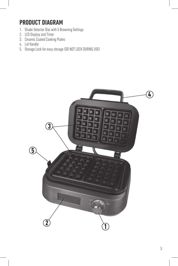## **PRODUCT DIAGRAM**

- 1. Shade Selector Dial with 5 Browning Settings
- 2. LCD Display and Timer
- 3. Ceramic Coated Cooking Plates
- 4. Lid Handle
- 5. Storage Lock for easy storage (DO NOT LOCK DURING USE)

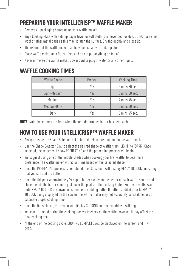# **PREPARING YOUR INTELLICRISP™ WAFFLE MAKER**

- Remove all packaging before using your waffle maker.
- Wipe Cooking Plate with a damp paper towel or soft cloth to remove food residue. DO NOT use steel wool or other metal pads as this may scratch the surface. Dry thoroughly and close lid.
- The exterior of the waffle maker can be wiped clean with a damp cloth.
- Place waffle maker on a flat surface and do not put anything on top of it.
- Never immerse the waffle maker, power cord or plug in water or any other liquid.

#### **WAFFLE COOKING TIMES**

| Waffle Shade | Preheat | <b>Cooking Time</b> |
|--------------|---------|---------------------|
| Light        | Yes     | 2 mins 30 sec.      |
| Light-Medium | Yes     | 3 mins 30 sec.      |
| Medium       | Yes     | 4 mins 45 sec.      |
| Medium-Dark  | Yes     | 5 mins 30 sec.      |
| Dark         | Yes     | 6 mins 45 sec.      |

**NOTE:** Note these times are from when the unit determines batter has been added.

#### **HOW TO USE YOUR INTELLICRISP™ WAFFLE MAKER**

- Always ensure the Shade Selector Dial is turned OFF before plugging in the waffle maker.
- Use the Shade Selector Dial to select the desired shade of waffle from "LIGHT" to "DARK". Once selected, the screen will show PREHEATING and the preheating process will begin.
- We suggest using one of the middle shades when cooking your first waffle, to determine preference. The waffle maker will adjust time based on the selected shade.
- Once the PREHEATING process is completed, the LCD screen will display READY TO COOK, indicating that you can add the batter.
- Open the lid, pour approximately 1/2 cup of batter evenly on the center of each waffle square and close the lid. The batter should just cover the peaks of the Cooking Plates. For best results, wait until READY TO COOK is shown on screen before adding batter. If batter is added prior to READY TO COOK being displayed on the screen, the waffle maker may not accurately sense doneness or calculate proper cooking time.
- Once the lid is closed, the screen will display COOKING and the countdown will begin.
- You can lift the lid during the cooking process to check on the waffle; however, it may affect the final cooking result.
- At the end of the cooking cycle, COOKING COMPLETE will be displayed on the screen, and it will beep.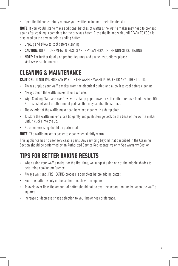• Open the lid and carefully remove your waffles using non-metallic utensils.

**NOTE:** If you would like to make additional batches of waffles, the waffle maker may need to preheat again after cooking is complete for the previous batch. Close the lid and wait until READY TO COOK is displayed on the screen before adding batter.

- Unplug and allow to cool before cleaning.
- **CAUTION:** DO NOT USE METAL UTENSILS AS THEY CAN SCRATCH THE NON-STICK COATING.
- **NOTE:** For further details on product features and usage instructions, please visit www.calphalon.com

# **CLEANING & MAINTENANCE**

**CAUTION:** DO NOT IMMERSE ANY PART OF THE WAFFLE MAKER IN WATER OR ANY OTHER LIQUID.

- Always unplug your waffle maker from the electrical outlet, and allow it to cool before cleaning.
- Always clean the waffle maker after each use.
- Wipe Cooking Plate and overflow with a damp paper towel or soft cloth to remove food residue. DO NOT use steel wool or other metal pads as this may scratch the surface.
- The exterior of the waffle maker can be wiped clean with a damp cloth.
- To store the waffle maker, close lid gently and push Storage Lock on the base of the waffle maker until it clicks into the lid.
- No other servicing should be performed.

**NOTE:** The waffle maker is easier to clean when slightly warm.

This appliance has no user serviceable parts. Any servicing beyond that described in the Cleaning Section should be performed by an Authorized Service Representative only. See Warranty Section.

# **TIPS FOR BETTER BAKING RESULTS**

- When using your waffle maker for the first time, we suggest using one of the middle shades to determine cooking preference.
- Always wait until PREHEATING process is complete before adding batter.
- Pour the batter evenly in the center of each waffle square.
- To avoid over flow, the amount of batter should not go over the separation line between the waffle squares.
- Increase or decrease shade selection to your brownness preference.